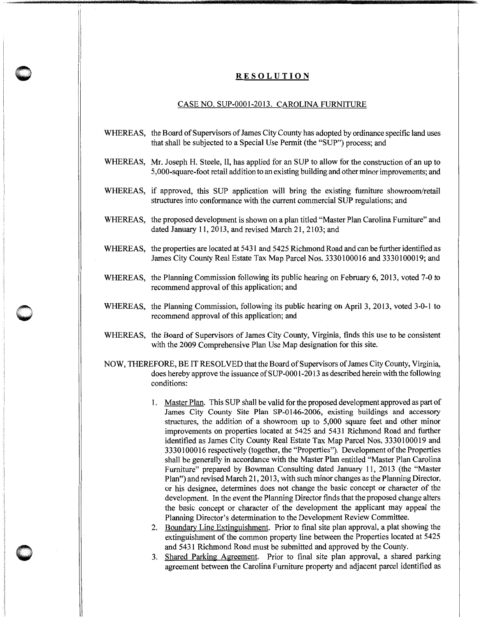## **RESOLUTION**

**0** 

**0** '

## CASE NO. SUP-0001-2013. CAROLINA FURNITURE

- WHEREAS, the Board of Supervisors of James City County has adopted by ordinance specific land uses that shall be subjected to a Special Use Permit (the "SUP") process; and
- WHEREAS, Mr. Joseph H. Steele, II, has applied for an SUP to allow for the construction of an up to 5,000-square-foot retail addition to an existing building and other minor improvements; and
- WHEREAS, if approved, this SUP application will bring the existing furniture showroom/retail structures into conformance with the current commercial SUP regulations; and
- WHEREAS, the proposed development is shown on a plan titled "Master Plan Carolina Furniture" and dated January 11,2013, and revised March 21, 2103; and
- WHEREAS, the properties are located at 5431 and 5425 Richmond Road and can be further identified as James City County Real Estate Tax Map Parcel Nos. 3330100016 and 3330100019; and
- WHEREAS, the Planning Commission following its public hearing on February 6, 2013, voted 7-0 to recommend approval of this application; and
- WHEREAS, the Planning Commission, following its public hearing on April 3, 2013, voted 3-0-1 to recommend approval of this application; and
- WHEREAS, the Board of Supervisors of James City County, Virginia, finds this use to be consistent with the 2009 Comprehensive Plan Use Map designation for this site.
- NOW, THEREFORE, BE IT RESOLVED that the Board of Supervisors of James City County, Virginia, does hereby approve the issuance of SUP-0001-2013 as described herein with the following conditions:
	- 1. Master Plan. This SUP shall be valid for the proposed development approved as part of James City County Site Plan SP-0146-2006, existing buildings and accessory structures, the addition of a showroom up to 5,000 square feet and other minor improvements on properties located at 5425 and 5431 Richmond Road and further identified as James City County Real Estate Tax Map Parcel Nos. 3330100019 and 3330100016 respectively (together, the "Properties"). Development of the Properties shall be generally in accordance with the Master Plan entitled "Master Plan Carolina Furniture" prepared by Bowman Consulting dated January 11, 2013 (the "Master Plan") and revised March 21, 2013, with such minor changes as the Planning Director, or his designee, determines does not change the basic concept or character of the development. In the event the Planning Director finds that the proposed change alters the basic concept or character of the development the applicant may appeal the Planning Director's determination to the Development Review Committee.
	- 2. Boundary Line Extinguishment. Prior to final site plan approval, a plat showing the extinguishment of the common property line between the Properties located at 5425 and 5431 Richmond Road must be submitted and approved by the County.
	- 3. Shared Parking Agreement. Prior to final site plan approval, a shared parking agreement between the Carolina Furniture property and adjacent parcel identified as